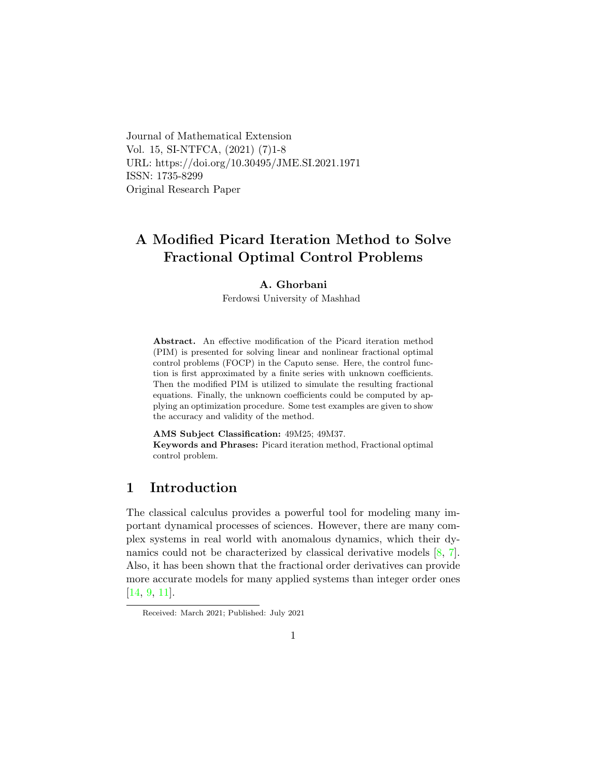Journal of Mathematical Extension Vol. 15, SI-NTFCA, (2021) (7)1-8 URL: https://doi.org/10.30495/JME.SI.2021.1971 ISSN: 1735-8299 Original Research Paper

# A Modified Picard Iteration Method to Solve Fractional Optimal Control Problems

#### A. Ghorbani

Ferdowsi University of Mashhad

Abstract. An effective modification of the Picard iteration method (PIM) is presented for solving linear and nonlinear fractional optimal control problems (FOCP) in the Caputo sense. Here, the control function is first approximated by a finite series with unknown coefficients. Then the modified PIM is utilized to simulate the resulting fractional equations. Finally, the unknown coefficients could be computed by applying an optimization procedure. Some test examples are given to show the accuracy and validity of the method.

AMS Subject Classification: 49M25; 49M37. Keywords and Phrases: Picard iteration method, Fractional optimal control problem.

# 1 Introduction

The classical calculus provides a powerful tool for modeling many important dynamical processes of sciences. However, there are many complex systems in real world with anomalous dynamics, which their dynamics could not be characterized by classical derivative models [\[8,](#page-7-0) [7\]](#page-7-1). Also, it has been shown that the fractional order derivatives can provide more accurate models for many applied systems than integer order ones [\[14,](#page-7-2) [9,](#page-7-3) [11\]](#page-7-4).

Received: March 2021; Published: July 2021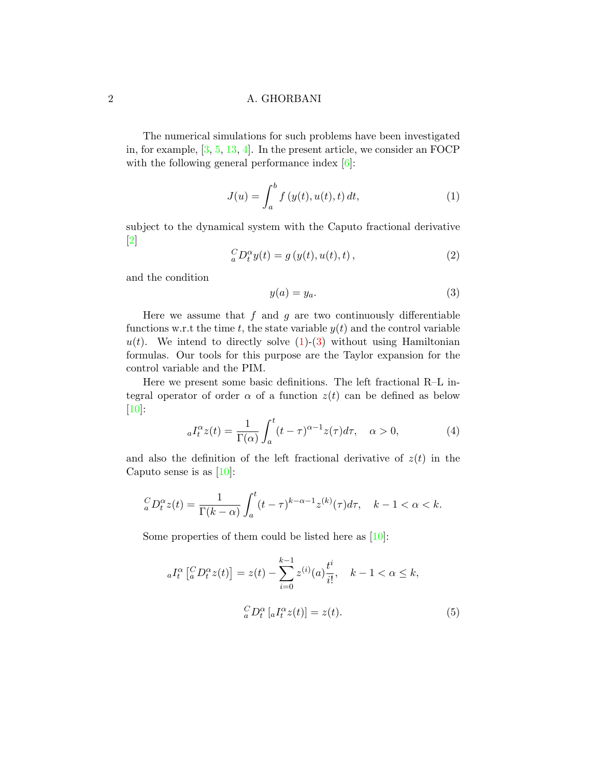The numerical simulations for such problems have been investigated in, for example, [\[3,](#page-6-0) [5,](#page-6-1) [13,](#page-7-5) [4\]](#page-6-2). In the present article, we consider an FOCP with the following general performance index  $[6]$ :

<span id="page-1-0"></span>
$$
J(u) = \int_{a}^{b} f(y(t), u(t), t) dt,
$$
 (1)

subject to the dynamical system with the Caputo fractional derivative  $\lceil 2 \rceil$ 

<span id="page-1-2"></span>
$$
{}_{a}^{C}D_{t}^{\alpha}y(t) = g(y(t), u(t), t), \qquad (2)
$$

and the condition

<span id="page-1-1"></span>
$$
y(a) = y_a. \tag{3}
$$

Here we assume that  $f$  and  $g$  are two continuously differentiable functions w.r.t the time t, the state variable  $y(t)$  and the control variable  $u(t)$ . We intend to directly solve  $(1)-(3)$  $(1)-(3)$  without using Hamiltonian formulas. Our tools for this purpose are the Taylor expansion for the control variable and the PIM.

Here we present some basic definitions. The left fractional R–L integral operator of order  $\alpha$  of a function  $z(t)$  can be defined as below [\[10\]](#page-7-6):

<span id="page-1-4"></span>
$$
{}_{a}I_{t}^{\alpha}z(t) = \frac{1}{\Gamma(\alpha)} \int_{a}^{t} (t - \tau)^{\alpha - 1} z(\tau) d\tau, \quad \alpha > 0,
$$
 (4)

and also the definition of the left fractional derivative of  $z(t)$  in the Caputo sense is as  $[10]$ :

$$
{}_{a}^{C}D_{t}^{\alpha}z(t) = \frac{1}{\Gamma(k-\alpha)} \int_{a}^{t} (t-\tau)^{k-\alpha-1} z^{(k)}(\tau) d\tau, \quad k-1 < \alpha < k.
$$

Some properties of them could be listed here as [\[10\]](#page-7-6):

<span id="page-1-3"></span>
$$
{}_{a}I_{t}^{\alpha}\left[^{C}_{a}D_{t}^{\alpha}z(t)\right] = z(t) - \sum_{i=0}^{k-1} z^{(i)}(a)\frac{t^{i}}{i!}, \quad k-1 < \alpha \le k,
$$

$$
{}_{a}^{C}D_{t}^{\alpha}\left[aI_{t}^{\alpha}z(t)\right] = z(t).
$$

$$
(5)
$$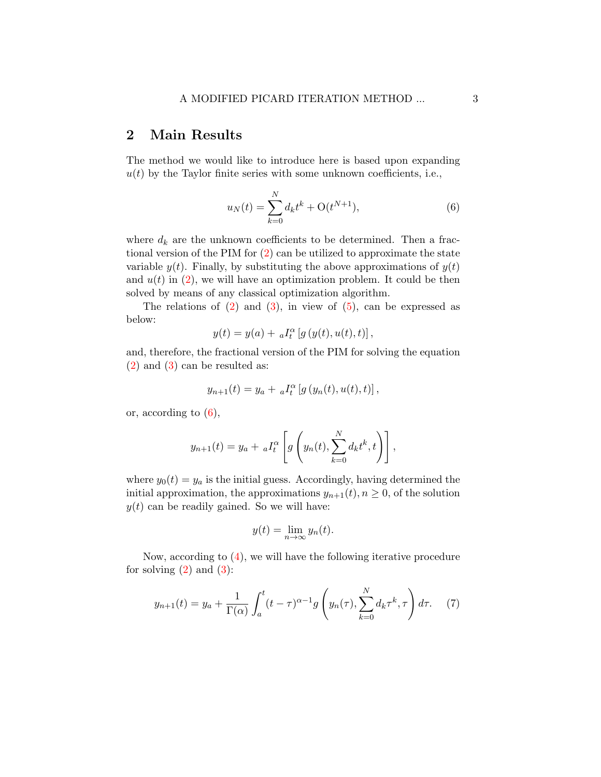### 2 Main Results

The method we would like to introduce here is based upon expanding  $u(t)$  by the Taylor finite series with some unknown coefficients, i.e.,

<span id="page-2-0"></span>
$$
u_N(t) = \sum_{k=0}^{N} d_k t^k + \mathcal{O}(t^{N+1}),
$$
\n(6)

where  $d_k$  are the unknown coefficients to be determined. Then a fractional version of the PIM for [\(2\)](#page-1-2) can be utilized to approximate the state variable  $y(t)$ . Finally, by substituting the above approximations of  $y(t)$ and  $u(t)$  in  $(2)$ , we will have an optimization problem. It could be then solved by means of any classical optimization algorithm.

The relations of  $(2)$  and  $(3)$ , in view of  $(5)$ , can be expressed as below:

$$
y(t) = y(a) + aI_t^{\alpha} [g(y(t), u(t), t)],
$$

and, therefore, the fractional version of the PIM for solving the equation [\(2\)](#page-1-2) and [\(3\)](#page-1-1) can be resulted as:

$$
y_{n+1}(t) = y_a + aI_t^{\alpha} [g(y_n(t), u(t), t)],
$$

or, according to [\(6\)](#page-2-0),

$$
y_{n+1}(t) = y_a + aI_t^{\alpha} \left[ g \left( y_n(t), \sum_{k=0}^N d_k t^k, t \right) \right],
$$

where  $y_0(t) = y_a$  is the initial guess. Accordingly, having determined the initial approximation, the approximations  $y_{n+1}(t)$ ,  $n \geq 0$ , of the solution  $y(t)$  can be readily gained. So we will have:

$$
y(t) = \lim_{n \to \infty} y_n(t).
$$

Now, according to [\(4\)](#page-1-4), we will have the following iterative procedure for solving  $(2)$  and  $(3)$ :

<span id="page-2-1"></span>
$$
y_{n+1}(t) = y_a + \frac{1}{\Gamma(\alpha)} \int_a^t (t - \tau)^{\alpha - 1} g\left(y_n(\tau), \sum_{k=0}^N d_k \tau^k, \tau\right) d\tau.
$$
 (7)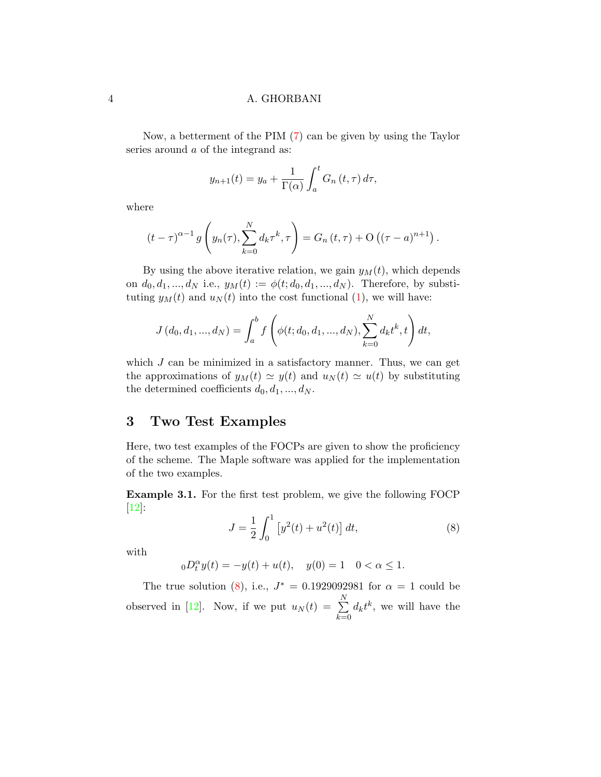Now, a betterment of the PIM [\(7\)](#page-2-1) can be given by using the Taylor series around a of the integrand as:

$$
y_{n+1}(t) = y_a + \frac{1}{\Gamma(\alpha)} \int_a^t G_n(t, \tau) d\tau,
$$

where

$$
(t-\tau)^{\alpha-1} g\left(y_n(\tau), \sum_{k=0}^N d_k \tau^k, \tau\right) = G_n(t,\tau) + O\left((\tau-a)^{n+1}\right).
$$

By using the above iterative relation, we gain  $y_M(t)$ , which depends on  $d_0, d_1, ..., d_N$  i.e.,  $y_M(t) := \phi(t; d_0, d_1, ..., d_N)$ . Therefore, by substituting  $y_M(t)$  and  $u_N(t)$  into the cost functional [\(1\)](#page-1-0), we will have:

$$
J(d_0, d_1, ..., d_N) = \int_a^b f\left(\phi(t; d_0, d_1, ..., d_N), \sum_{k=0}^N d_k t^k, t\right) dt,
$$

which  $J$  can be minimized in a satisfactory manner. Thus, we can get the approximations of  $y_M(t) \simeq y(t)$  and  $u_N(t) \simeq u(t)$  by substituting the determined coefficients  $d_0, d_1, ..., d_N$ .

### 3 Two Test Examples

Here, two test examples of the FOCPs are given to show the proficiency of the scheme. The Maple software was applied for the implementation of the two examples.

<span id="page-3-1"></span>Example 3.1. For the first test problem, we give the following FOCP [\[12\]](#page-7-7):

<span id="page-3-0"></span>
$$
J = \frac{1}{2} \int_0^1 \left[ y^2(t) + u^2(t) \right] dt,\tag{8}
$$

with

 $_0D_t^{\alpha}y(t) = -y(t) + u(t), \quad y(0) = 1 \quad 0 < \alpha \le 1.$ 

The true solution [\(8\)](#page-3-0), i.e.,  $J^* = 0.1929092981$  for  $\alpha = 1$  could be observed in [\[12\]](#page-7-7). Now, if we put  $u_N(t) = \sum_{i=1}^{N}$  $_{k=0}$  $d_k t^k$ , we will have the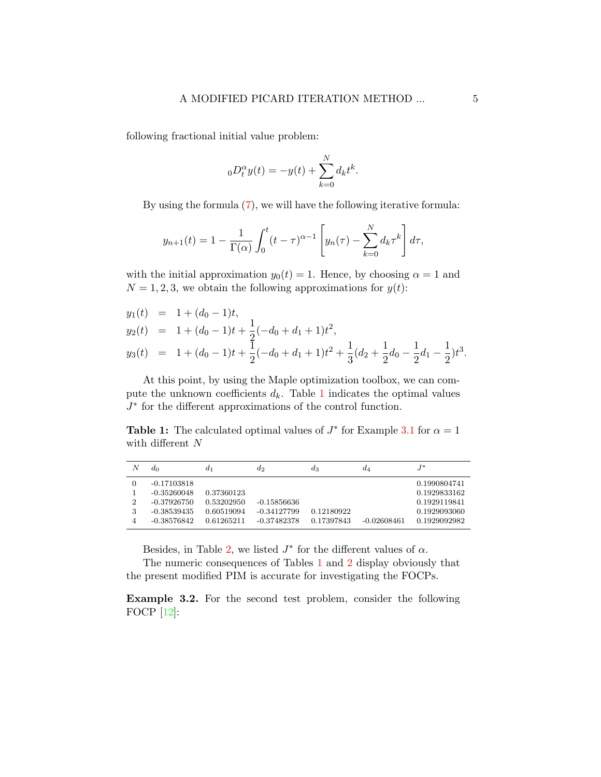following fractional initial value problem:

$$
_{0}D_{t}^{\alpha}y(t) = -y(t) + \sum_{k=0}^{N} d_{k}t^{k}.
$$

By using the formula [\(7\)](#page-2-1), we will have the following iterative formula:

$$
y_{n+1}(t) = 1 - \frac{1}{\Gamma(\alpha)} \int_0^t (t - \tau)^{\alpha - 1} \left[ y_n(\tau) - \sum_{k=0}^N d_k \tau^k \right] d\tau,
$$

with the initial approximation  $y_0(t) = 1$ . Hence, by choosing  $\alpha = 1$  and  $N = 1, 2, 3$ , we obtain the following approximations for  $y(t)$ :

$$
y_1(t) = 1 + (d_0 - 1)t,
$$
  
\n
$$
y_2(t) = 1 + (d_0 - 1)t + \frac{1}{2}(-d_0 + d_1 + 1)t^2,
$$
  
\n
$$
y_3(t) = 1 + (d_0 - 1)t + \frac{1}{2}(-d_0 + d_1 + 1)t^2 + \frac{1}{3}(d_2 + \frac{1}{2}d_0 - \frac{1}{2}d_1 - \frac{1}{2})t^3.
$$

At this point, by using the Maple optimization toolbox, we can compute the unknown coefficients  $d_k$ . Table [1](#page-4-0) indicates the optimal values J ∗ for the different approximations of the control function.

<span id="page-4-0"></span>**Table 1:** The calculated optimal values of  $J^*$  for Example [3.1](#page-3-1) for  $\alpha = 1$ with different  $N$ 

| N | $d_0$         | $a_1$      | $a_2$         | $a_3$      | $d_4$         | $J^*$        |
|---|---------------|------------|---------------|------------|---------------|--------------|
|   | $-0.17103818$ |            |               |            |               | 0.1990804741 |
|   | $-0.35260048$ | 0.37360123 |               |            |               | 0.1929833162 |
| 2 | $-0.37926750$ | 0.53202950 | $-0.15856636$ |            |               | 0.1929119841 |
| 3 | -0.38539435   | 0.60519094 | $-0.34127799$ | 0.12180922 |               | 0.1929093060 |
|   | $-0.38576842$ | 0.61265211 | $-0.37482378$ | 0.17397843 | $-0.02608461$ | 0.1929092982 |

Besides, in Table [2,](#page-5-0) we listed  $J^*$  for the different values of  $\alpha$ .

The numeric consequences of Tables [1](#page-4-0) and [2](#page-5-0) display obviously that the present modified PIM is accurate for investigating the FOCPs.

<span id="page-4-1"></span>Example 3.2. For the second test problem, consider the following FOCP [\[12\]](#page-7-7):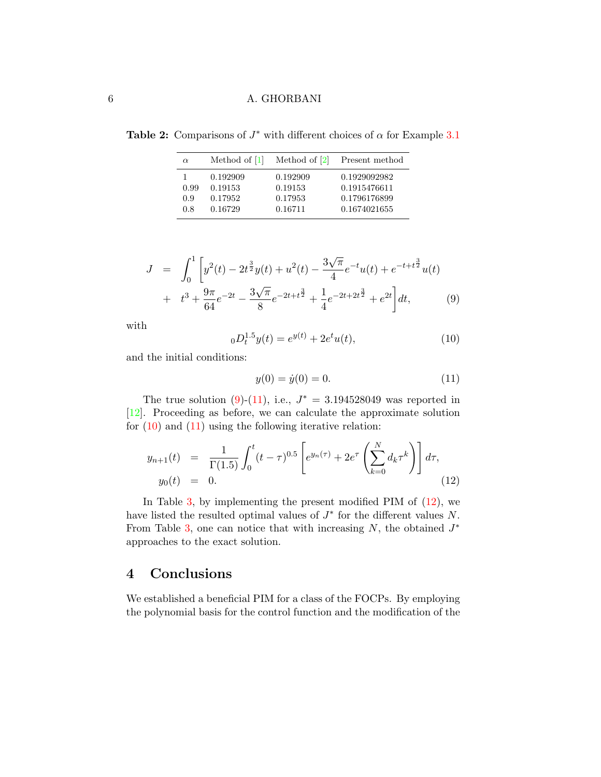<span id="page-5-0"></span>Table 2: Comparisons of  $J^*$  with different choices of  $\alpha$  for Example [3.1](#page-3-1)

| $\alpha$ | Method of $ 1 $ | Method of $ 2 $ | Present method |
|----------|-----------------|-----------------|----------------|
|          | 0.192909        | 0.192909        | 0.1929092982   |
| 0.99     | 0.19153         | 0.19153         | 0.1915476611   |
| 0.9      | 0.17952         | 0.17953         | 0.1796176899   |
| 0.8      | 0.16729         | 0.16711         | 0.1674021655   |

<span id="page-5-1"></span>
$$
J = \int_0^1 \left[ y^2(t) - 2t^{\frac{3}{2}}y(t) + u^2(t) - \frac{3\sqrt{\pi}}{4} e^{-t} u(t) + e^{-t + t^{\frac{3}{2}}} u(t) + t^3 + \frac{9\pi}{64} e^{-2t} - \frac{3\sqrt{\pi}}{8} e^{-2t + t^{\frac{3}{2}}} + \frac{1}{4} e^{-2t + 2t^{\frac{3}{2}}} + e^{2t} \right] dt,
$$
 (9)

with

<span id="page-5-3"></span>
$$
{}_{0}D_{t}^{1.5}y(t) = e^{y(t)} + 2e^{t}u(t),
$$
\n(10)

and the initial conditions:

<span id="page-5-2"></span>
$$
y(0) = \dot{y}(0) = 0.
$$
 (11)

The true solution  $(9)-(11)$  $(9)-(11)$ , i.e.,  $J^* = 3.194528049$  was reported in [\[12\]](#page-7-7). Proceeding as before, we can calculate the approximate solution for  $(10)$  and  $(11)$  using the following iterative relation:

<span id="page-5-4"></span>
$$
y_{n+1}(t) = \frac{1}{\Gamma(1.5)} \int_0^t (t-\tau)^{0.5} \left[ e^{y_n(\tau)} + 2e^{\tau} \left( \sum_{k=0}^N d_k \tau^k \right) \right] d\tau,
$$
  
\n
$$
y_0(t) = 0.
$$
\n(12)

In Table [3,](#page-6-6) by implementing the present modified PIM of  $(12)$ , we have listed the resulted optimal values of  $J^*$  for the different values  $N$ . From Table [3,](#page-6-6) one can notice that with increasing  $N$ , the obtained  $J^*$ approaches to the exact solution.

# 4 Conclusions

We established a beneficial PIM for a class of the FOCPs. By employing the polynomial basis for the control function and the modification of the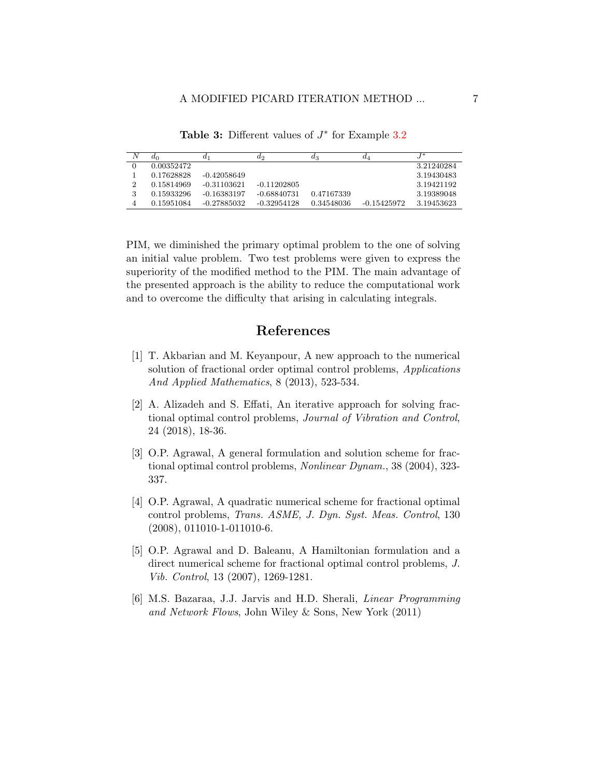<span id="page-6-6"></span>

| N | $d_0$      | $_{a_1}$      | $a_2$         | $a_3$      | $a_4$         | $\sqrt{ }$ |
|---|------------|---------------|---------------|------------|---------------|------------|
|   | 0.00352472 |               |               |            |               | 3.21240284 |
|   | 0.17628828 | $-0.42058649$ |               |            |               | 3.19430483 |
|   | 0.15814969 | -0.31103621   | $-0.11202805$ |            |               | 3.19421192 |
|   | 0.15933296 | $-0.16383197$ | -0.68840731   | 0.47167339 |               | 3.19389048 |
|   | 0.15951084 | -0.27885032   | $-0.32954128$ | 0.34548036 | $-0.15425972$ | 3.19453623 |

Table 3: Different values of  $J^*$  for Example [3.2](#page-4-1)

PIM, we diminished the primary optimal problem to the one of solving an initial value problem. Two test problems were given to express the superiority of the modified method to the PIM. The main advantage of the presented approach is the ability to reduce the computational work and to overcome the difficulty that arising in calculating integrals.

# References

- <span id="page-6-5"></span>[1] T. Akbarian and M. Keyanpour, A new approach to the numerical solution of fractional order optimal control problems, *Applications* And Applied Mathematics, 8 (2013), 523-534.
- <span id="page-6-4"></span>[2] A. Alizadeh and S. Effati, An iterative approach for solving fractional optimal control problems, Journal of Vibration and Control, 24 (2018), 18-36.
- <span id="page-6-0"></span>[3] O.P. Agrawal, A general formulation and solution scheme for fractional optimal control problems, Nonlinear Dynam., 38 (2004), 323- 337.
- <span id="page-6-2"></span>[4] O.P. Agrawal, A quadratic numerical scheme for fractional optimal control problems, Trans. ASME, J. Dyn. Syst. Meas. Control, 130 (2008), 011010-1-011010-6.
- <span id="page-6-1"></span>[5] O.P. Agrawal and D. Baleanu, A Hamiltonian formulation and a direct numerical scheme for fractional optimal control problems, J. Vib. Control, 13 (2007), 1269-1281.
- <span id="page-6-3"></span>[6] M.S. Bazaraa, J.J. Jarvis and H.D. Sherali, Linear Programming and Network Flows, John Wiley & Sons, New York (2011)